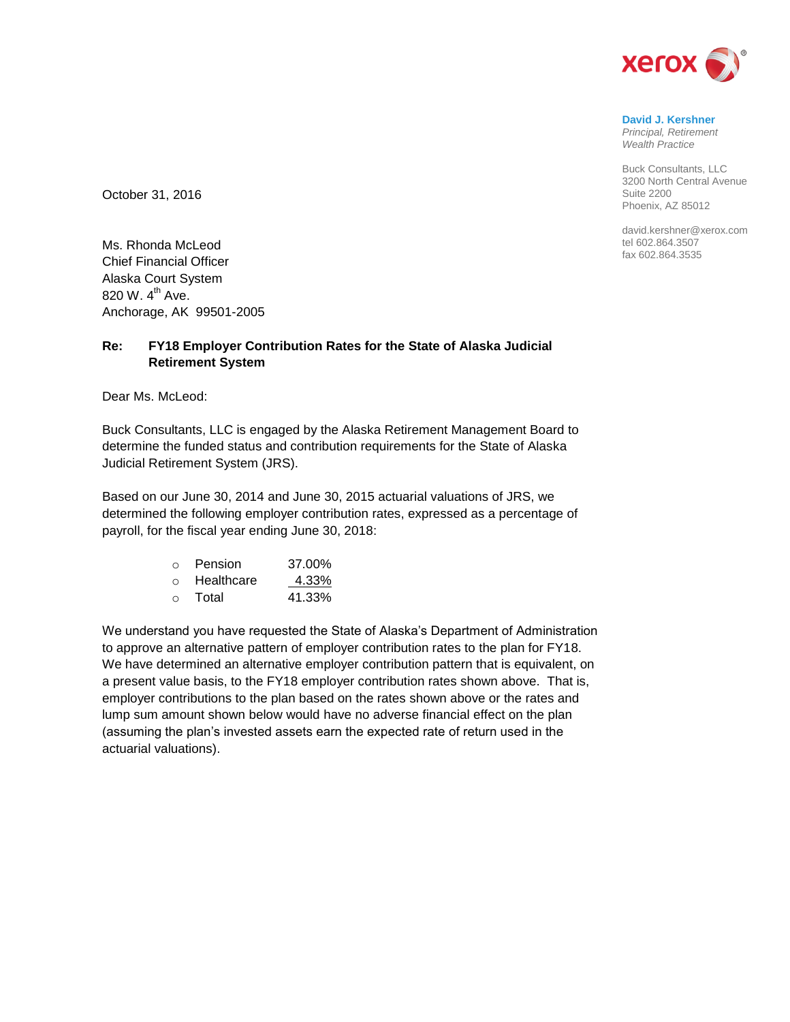

**David J. Kershner** *Principal, Retirement Wealth Practice*

Buck Consultants, LLC 3200 North Central Avenue Suite 2200 Phoenix, AZ 85012

david.kershner@xerox.com tel 602.864.3507 fax 602.864.3535

October 31, 2016

Ms. Rhonda McLeod Chief Financial Officer Alaska Court System 820 W.  $4^{th}$  Ave. Anchorage, AK 99501-2005

## **Re: FY18 Employer Contribution Rates for the State of Alaska Judicial Retirement System**

Dear Ms. McLeod:

Buck Consultants, LLC is engaged by the Alaska Retirement Management Board to determine the funded status and contribution requirements for the State of Alaska Judicial Retirement System (JRS).

Based on our June 30, 2014 and June 30, 2015 actuarial valuations of JRS, we determined the following employer contribution rates, expressed as a percentage of payroll, for the fiscal year ending June 30, 2018:

| $\bigcap$ | Pension    | 37.00% |
|-----------|------------|--------|
| $\Omega$  | Healthcare | 4.33%  |
| $\Omega$  | Total      | 41.33% |

We understand you have requested the State of Alaska's Department of Administration to approve an alternative pattern of employer contribution rates to the plan for FY18. We have determined an alternative employer contribution pattern that is equivalent, on a present value basis, to the FY18 employer contribution rates shown above. That is, employer contributions to the plan based on the rates shown above or the rates and lump sum amount shown below would have no adverse financial effect on the plan (assuming the plan's invested assets earn the expected rate of return used in the actuarial valuations).